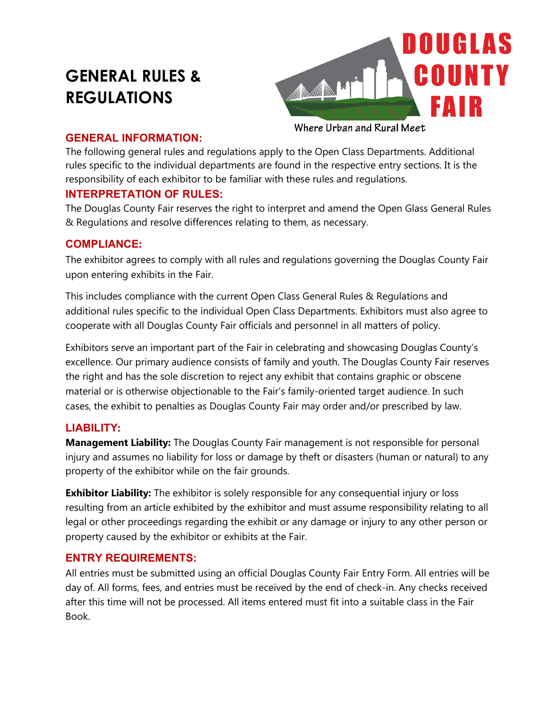# **GENERAL RULES & REGULATIONS**



#### **GENERAL INFORMATION:**

The following general rules and regulations apply to the Open Class Departments. Additional rules specific to the individual departments are found in the respective entry sections. It is the responsibility of each exhibitor to be familiar with these rules and regulations.

# **INTERPRETATION OF RULES:**

The Douglas County Fair reserves the right to interpret and amend the Open Glass General Rules & Regulations and resolve differences relating to them, as necessary.

## **COMPLIANCE:**

The exhibitor agrees to comply with all rules and regulations governing the Douglas County Fair upon entering exhibits in the Fair.

This includes compliance with the current Open Class General Rules & Regulations and additional rules specific to the individual Open Class Departments. Exhibitors must also agree to cooperate with all Douglas County Fair officials and personnel in all matters of policy.

Exhibitors serve an important part of the Fair in celebrating and showcasing Douglas County's excellence. Our primary audience consists of family and youth. The Douglas County Fair reserves the right and has the sole discretion to reject any exhibit that contains graphic or obscene material or is otherwise objectionable to the Fair's family-oriented target audience. In such cases, the exhibit to penalties as Douglas County Fair may order and/or prescribed by law.

# **LIABILITY:**

**Management Liability:** The Douglas County Fair management is not responsible for personal injury and assumes no liability for loss or damage by theft or disasters (human or natural) to any property of the exhibitor while on the fair grounds.

**Exhibitor Liability:** The exhibitor is solely responsible for any consequential injury or loss resulting from an article exhibited by the exhibitor and must assume responsibility relating to all legal or other proceedings regarding the exhibit or any damage or injury to any other person or property caused by the exhibitor or exhibits at the Fair.

## **ENTRY REQUIREMENTS:**

All entries must be submitted using an official Douglas County Fair Entry Form. All entries will be day of. All forms, fees, and entries must be received by the end of check-in. Any checks received after this time will not be processed. All items entered must fit into a suitable class in the Fair Book.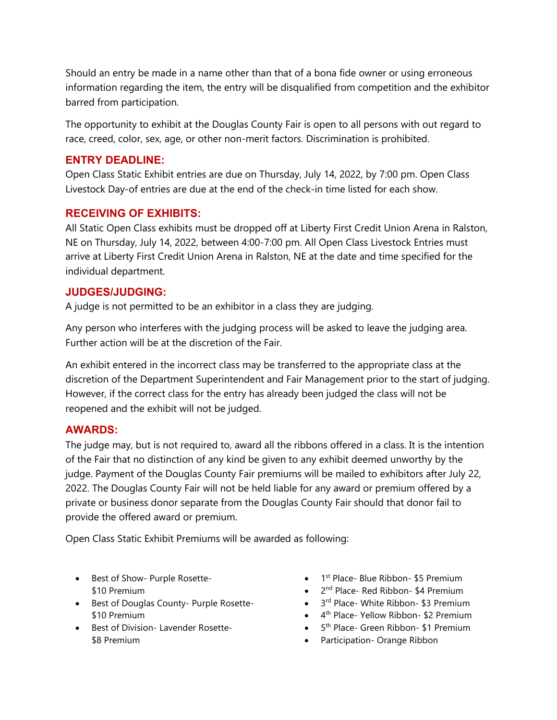Should an entry be made in a name other than that of a bona fide owner or using erroneous information regarding the item, the entry will be disqualified from competition and the exhibitor barred from participation.

The opportunity to exhibit at the Douglas County Fair is open to all persons with out regard to race, creed, color, sex, age, or other non-merit factors. Discrimination is prohibited.

### **ENTRY DEADLINE:**

Open Class Static Exhibit entries are due on Thursday, July 14, 2022, by 7:00 pm. Open Class Livestock Day-of entries are due at the end of the check-in time listed for each show.

## **RECEIVING OF EXHIBITS:**

All Static Open Class exhibits must be dropped off at Liberty First Credit Union Arena in Ralston, NE on Thursday, July 14, 2022, between 4:00-7:00 pm. All Open Class Livestock Entries must arrive at Liberty First Credit Union Arena in Ralston, NE at the date and time specified for the individual department.

## **JUDGES/JUDGING:**

A judge is not permitted to be an exhibitor in a class they are judging.

Any person who interferes with the judging process will be asked to leave the judging area. Further action will be at the discretion of the Fair.

An exhibit entered in the incorrect class may be transferred to the appropriate class at the discretion of the Department Superintendent and Fair Management prior to the start of judging. However, if the correct class for the entry has already been judged the class will not be reopened and the exhibit will not be judged.

## **AWARDS:**

The judge may, but is not required to, award all the ribbons offered in a class. It is the intention of the Fair that no distinction of any kind be given to any exhibit deemed unworthy by the judge. Payment of the Douglas County Fair premiums will be mailed to exhibitors after July 22, 2022. The Douglas County Fair will not be held liable for any award or premium offered by a private or business donor separate from the Douglas County Fair should that donor fail to provide the offered award or premium.

Open Class Static Exhibit Premiums will be awarded as following:

- Best of Show- Purple Rosette- \$10 Premium
- Best of Douglas County- Purple Rosette- \$10 Premium
- Best of Division- Lavender Rosette- \$8 Premium
- 1<sup>st</sup> Place- Blue Ribbon- \$5 Premium
- 2<sup>nd</sup> Place- Red Ribbon- \$4 Premium
- 3<sup>rd</sup> Place- White Ribbon- \$3 Premium
- 4<sup>th</sup> Place- Yellow Ribbon- \$2 Premium
- 5<sup>th</sup> Place- Green Ribbon- \$1 Premium
- Participation- Orange Ribbon